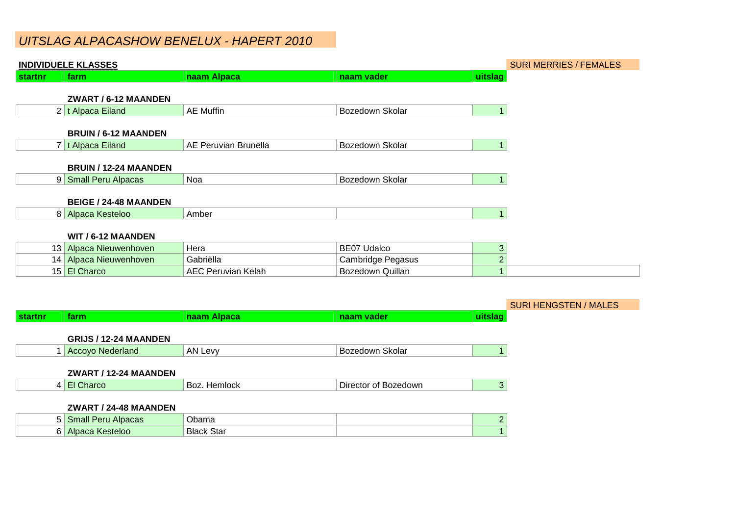# UITSLAG ALPACASHOW BENELUX - HAPERT 2010

|         | <b>INDIVIDUELE KLASSES</b>   |                           | <b>SURI MERRIES / FEMALES</b> |                |  |
|---------|------------------------------|---------------------------|-------------------------------|----------------|--|
| startnr | farm                         | naam Alpaca               | naam vader                    | uitslag        |  |
|         | ZWART / 6-12 MAANDEN         |                           |                               |                |  |
|         | 2 t Alpaca Eiland            | <b>AE Muffin</b>          | Bozedown Skolar               |                |  |
|         | <b>BRUIN / 6-12 MAANDEN</b>  |                           |                               |                |  |
|         | 7 t Alpaca Eiland            | AE Peruvian Brunella      | Bozedown Skolar               |                |  |
|         | <b>BRUIN / 12-24 MAANDEN</b> |                           |                               |                |  |
|         | 9 Small Peru Alpacas         | <b>Noa</b>                | Bozedown Skolar               |                |  |
|         | <b>BEIGE / 24-48 MAANDEN</b> |                           |                               |                |  |
|         | 8 Alpaca Kesteloo            | Amber                     |                               |                |  |
|         | WIT / 6-12 MAANDEN           |                           |                               |                |  |
|         | 13 Alpaca Nieuwenhoven       | Hera                      | <b>BE07 Udalco</b>            | 3              |  |
|         | 14 Alpaca Nieuwenhoven       | Gabriëlla                 | <b>Cambridge Pegasus</b>      | $\overline{2}$ |  |
|         | 15 El Charco                 | <b>AEC Peruvian Kelah</b> | <b>Bozedown Quillan</b>       |                |  |

|         |                              |                   |                      |         | <b>SURI HENGSTEN / MALES</b> |
|---------|------------------------------|-------------------|----------------------|---------|------------------------------|
| startnr | farm                         | naam Alpaca       | naam vader           | uitslag |                              |
|         |                              |                   |                      |         |                              |
|         | <b>GRIJS / 12-24 MAANDEN</b> |                   |                      |         |                              |
|         | <b>Accoyo Nederland</b>      | AN Levy           | Bozedown Skolar      |         |                              |
|         |                              |                   |                      |         |                              |
|         | ZWART / 12-24 MAANDEN        |                   |                      |         |                              |
|         | 4 El Charco                  | Boz. Hemlock      | Director of Bozedown | 3       |                              |
|         |                              |                   |                      |         |                              |
|         | ZWART / 24-48 MAANDEN        |                   |                      |         |                              |
|         | 5 Small Peru Alpacas         | Obama             |                      |         |                              |
|         | 6 Alpaca Kesteloo            | <b>Black Star</b> |                      |         |                              |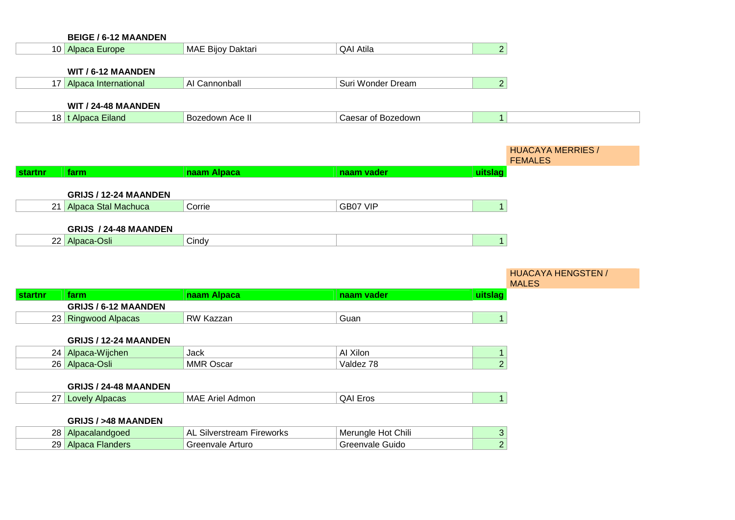|         | <b>BEIGE / 6-12 MAANDEN</b>   |                                  |                    |                |                                           |
|---------|-------------------------------|----------------------------------|--------------------|----------------|-------------------------------------------|
|         | 10 Alpaca Europe              | MAE Bijoy Daktari                | <b>QAI Atila</b>   | $\overline{2}$ |                                           |
|         |                               |                                  |                    |                |                                           |
|         | WIT / 6-12 MAANDEN            |                                  |                    |                |                                           |
|         | 17 Alpaca International       | AI Cannonball                    | Suri Wonder Dream  | $\overline{2}$ |                                           |
|         | WIT / 24-48 MAANDEN           |                                  |                    |                |                                           |
|         | 18 t Alpaca Eiland            | Bozedown Ace II                  | Caesar of Bozedown | $\mathbf{1}$   |                                           |
|         |                               |                                  |                    |                |                                           |
|         |                               |                                  |                    |                |                                           |
|         |                               |                                  |                    |                | <b>HUACAYA MERRIES /</b>                  |
| startnr | farm                          | naam Alpaca                      | naam vader         | uitslag        | <b>FEMALES</b>                            |
|         |                               |                                  |                    |                |                                           |
|         | GRIJS / 12-24 MAANDEN         |                                  |                    |                |                                           |
|         | 21 Alpaca Stal Machuca        | Corrie                           | GB07 VIP           | $\mathbf{1}$   |                                           |
|         |                               |                                  |                    |                |                                           |
|         | GRIJS / 24-48 MAANDEN         |                                  |                    |                |                                           |
|         | 22 Alpaca-Osli                | Cindy                            |                    | $\overline{1}$ |                                           |
|         |                               |                                  |                    |                |                                           |
|         |                               |                                  |                    |                |                                           |
|         |                               |                                  |                    |                | <b>HUACAYA HENGSTEN /</b><br><b>MALES</b> |
| startnr | farm                          | naam Alpaca                      | naam vader         | uitslag        |                                           |
|         | <b>GRIJS / 6-12 MAANDEN</b>   |                                  |                    |                |                                           |
|         | 23 Ringwood Alpacas           | RW Kazzan                        | Guan               | $\mathbf{1}$   |                                           |
|         |                               |                                  |                    |                |                                           |
|         | GRIJS / 12-24 MAANDEN         |                                  |                    |                |                                           |
|         | 24 Alpaca-Wijchen             | Jack                             | Al Xilon           | $\mathbf{1}$   |                                           |
|         | 26 Alpaca-Osli                | <b>MMR Oscar</b>                 | Valdez 78          | $\overline{2}$ |                                           |
|         |                               |                                  |                    |                |                                           |
|         | GRIJS / 24-48 MAANDEN         |                                  |                    |                |                                           |
|         | 27 Lovely Alpacas             | <b>MAE Ariel Admon</b>           | <b>QAI Eros</b>    | $\mathbf{1}$   |                                           |
|         | <b>GRIJS / &gt;48 MAANDEN</b> |                                  |                    |                |                                           |
|         | 28 Alpacalandgoed             | <b>AL Silverstream Fireworks</b> | Merungle Hot Chili | $\mathfrak{S}$ |                                           |
|         | 29 Alpaca Flanders            | Greenvale Arturo                 | Greenvale Guido    | $\overline{2}$ |                                           |
|         |                               |                                  |                    |                |                                           |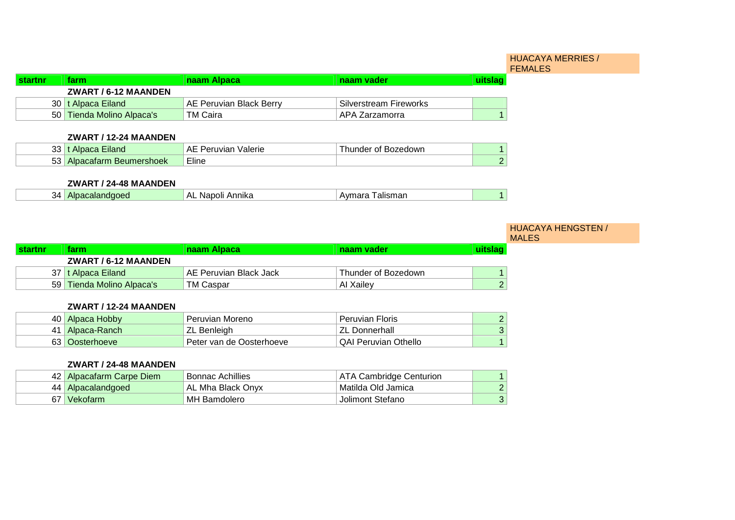|          |                           |                         |                               | <b>HUACAYA MERRIES /</b><br><b>FEMALES</b> |
|----------|---------------------------|-------------------------|-------------------------------|--------------------------------------------|
| ∣startnr | farm.                     | naam Alpaca             | naam vader                    |                                            |
|          | ZWART / 6-12 MAANDEN      |                         |                               |                                            |
|          | 30   t Alpaca Eiland      | AE Peruvian Black Berry | <b>Silverstream Fireworks</b> |                                            |
|          | 50 Tienda Molino Alpaca's | TM Caira                | ⊦APA Zarzamorra               |                                            |

#### **ZWART / 12-24 MAANDEN**

| າາ<br><b>Mand</b><br>აა                            | 'alerie<br>.<br>$\overline{L}$ | edown'<br>naei |  |
|----------------------------------------------------|--------------------------------|----------------|--|
| τo.<br>າershoek<br>$\cdots$<br>69H<br>၁၁<br>$\sim$ | $-1$<br>Eline                  |                |  |

# **ZWART / 24-48 MAANDEN**

| 34<br>10 | Λ<br>nıka<br>N<br>nн<br>Anr | smar<br>alıs |  |
|----------|-----------------------------|--------------|--|
|          |                             |              |  |

|                |                           |                        |                     |         | <b>HUACAYA HENGSTEN /</b><br><b>MALES</b> |
|----------------|---------------------------|------------------------|---------------------|---------|-------------------------------------------|
| <b>startnr</b> | farm                      | naam Alpaca            | naam vader          | uitslag |                                           |
|                | ZWART / 6-12 MAANDEN      |                        |                     |         |                                           |
|                | 37   t Alpaca Eiland      | AE Peruvian Black Jack | Thunder of Bozedown |         |                                           |
|                | 59 Tienda Molino Alpaca's | TM Caspar              | Al Xailey           |         |                                           |

# **ZWART / 12-24 MAANDEN**

| 40   Alpaca Hobby | Peruvian Moreno          | <b>Peruvian Floris</b>      |  |
|-------------------|--------------------------|-----------------------------|--|
| 41   Alpaca-Ranch | ZL Benleigh              | ∣ ZL Donnerhall             |  |
| 63 Oosterhoeve    | Peter van de Oosterhoeve | <b>QAI Peruvian Othello</b> |  |

## **ZWART / 24-48 MAANDEN**

|    | 42 Alpacafarm Carpe Diem | <b>Bonnac Achillies</b> | <b>ATA Cambridge Centurion</b> |  |
|----|--------------------------|-------------------------|--------------------------------|--|
|    | 44   Alpacalandgoed      | AL Mha Black Onyx       | Matilda Old Jamica             |  |
| 67 | Vekofarm                 | MH Bamdolero            | Jolimont Stefano               |  |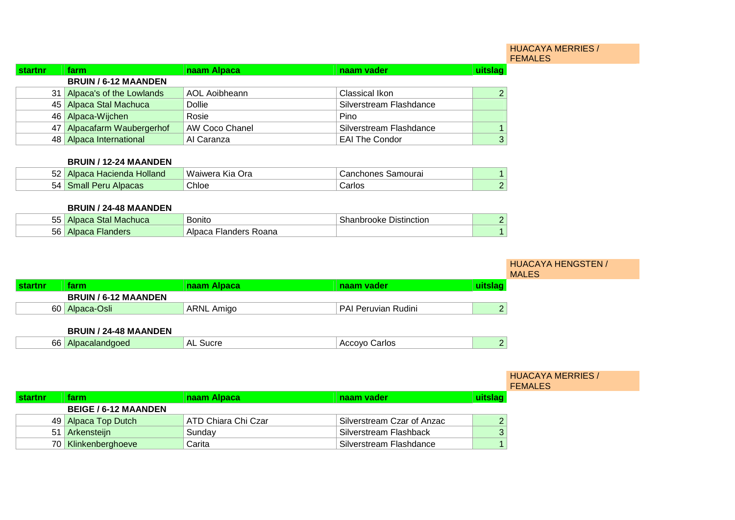#### HUACAYA MERRIES / FEMALES

| startnr | farm                        | naam Alpaca           | naam vader              | uitslag |
|---------|-----------------------------|-----------------------|-------------------------|---------|
|         | <b>BRUIN / 6-12 MAANDEN</b> |                       |                         |         |
|         | 31 Alpaca's of the Lowlands | AOL Aoibheann         | Classical Ikon          |         |
|         | 45 Alpaca Stal Machuca      | <b>Dollie</b>         | Silverstream Flashdance |         |
|         | 46 Alpaca-Wijchen           | Rosie                 | Pino                    |         |
|         | 47 Alpacafarm Waubergerhof  | <b>AW Coco Chanel</b> | Silverstream Flashdance |         |
|         | 48 Alpaca International     | Al Caranza            | <b>EAI The Condor</b>   |         |

#### **BRUIN / 12-24 MAANDEN**

| EΩ<br>Holland<br>Hacienda<br>౦∠ | M <sub>2</sub><br>anwers<br>)r: | $\sim$<br>n r<br>Ίe<br>. II<br>uvuldi. |  |
|---------------------------------|---------------------------------|----------------------------------------|--|
| 54<br>а⊪<br>- 311<br>vatas      | Chloe                           | רוס-                                   |  |

### **BRUIN / 24-48 MAANDEN**

| <b>FF</b><br>IVIE<br>די<br><b>SHUGA</b><br>ບບ | 3onito                             | -<br>Distinction<br>но | ⌒ |
|-----------------------------------------------|------------------------------------|------------------------|---|
| 56<br>~ * *<br>ິ                              | .<br>$\sim$<br>' ہے .<br>uana<br>ᇺ |                        |   |

|         |                             |                   |                     |         | <b>HUACAYA HENGSTEN /</b><br><b>MALES</b> |
|---------|-----------------------------|-------------------|---------------------|---------|-------------------------------------------|
| startnr | farm                        | naam Alpaca       | naam vader          | uitslag |                                           |
|         | <b>BRUIN / 6-12 MAANDEN</b> |                   |                     |         |                                           |
|         | 60 Alpaca-Osli              | <b>ARNL Amigo</b> | PAI Peruvian Rudini |         |                                           |
|         |                             |                   |                     |         |                                           |

# **BRUIN / 24-48 MAANDEN**

| 66 | Aln.<br>$\sim$ $\sim$ $\sim$ $\sim$ | ` A∟<br>יו וור | Carlos<br>Accovo<br><u>— правит</u> |  |
|----|-------------------------------------|----------------|-------------------------------------|--|
|    |                                     |                |                                     |  |

#### HUACAYA MERRIES / FEMALES

| ∣startnr | farm                        | naam Alpaca         | naam vader                 | <u>uitslac</u> |
|----------|-----------------------------|---------------------|----------------------------|----------------|
|          | <b>BEIGE / 6-12 MAANDEN</b> |                     |                            |                |
|          | 49 Alpaca Top Dutch         | ATD Chiara Chi Czar | Silverstream Czar of Anzac |                |
|          | 51 Arkensteijn              | Sunday              | Silverstream Flashback     |                |
|          | 70 Klinkenberghoeve         | Carita              | Silverstream Flashdance    |                |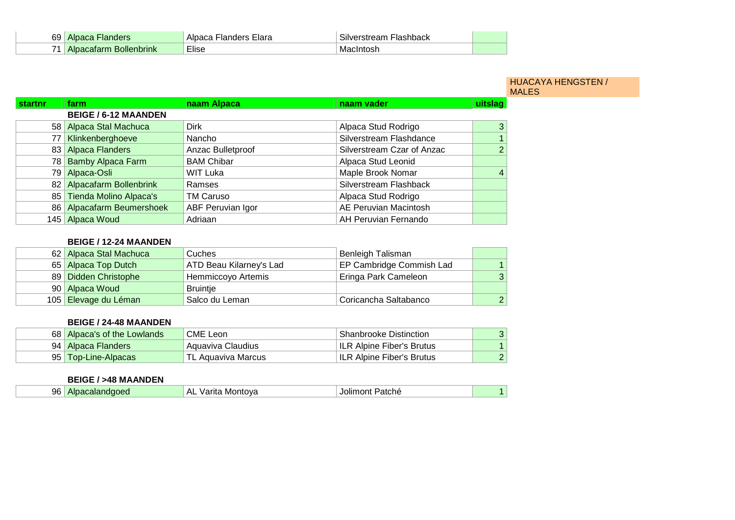| 69 |      | میں دا<br>u<br>. .       | $\sim$<br>Inchhack<br>-----<br>``ااد.<br>ear<br>11 I<br>รเบ∿ |  |
|----|------|--------------------------|--------------------------------------------------------------|--|
| 74 | TINK | $- \cdot \cdot$<br>∟lise | IVI:                                                         |  |

#### HUACAYA HENGSTEN / MALES

| startnr | farm                        | naam Alpaca       | naam vader                 | uitslag        |
|---------|-----------------------------|-------------------|----------------------------|----------------|
|         | <b>BEIGE / 6-12 MAANDEN</b> |                   |                            |                |
|         | 58 Alpaca Stal Machuca      | <b>Dirk</b>       | Alpaca Stud Rodrigo        | 3              |
| 77      | Klinkenberghoeve            | Nancho            | Silverstream Flashdance    | 1 <sup>1</sup> |
|         | 83 Alpaca Flanders          | Anzac Bulletproof | Silverstream Czar of Anzac | 2 <sup>1</sup> |
| 78 I    | <b>Bamby Alpaca Farm</b>    | <b>BAM Chibar</b> | Alpaca Stud Leonid         |                |
|         | 79 Alpaca-Osli              | <b>WIT Luka</b>   | Maple Brook Nomar          | $\vert$ 4      |
|         | 82 Alpacafarm Bollenbrink   | Ramses            | Silverstream Flashback     |                |
|         | 85 Tienda Molino Alpaca's   | <b>TM Caruso</b>  | Alpaca Stud Rodrigo        |                |
|         | 86 Alpacafarm Beumershoek   | ABF Peruvian Igor | AE Peruvian Macintosh      |                |
|         | 145 Alpaca Woud             | Adriaan           | AH Peruvian Fernando       |                |

# **BEIGE / 12-24 MAANDEN**

| 62 Alpaca Stal Machuca | Cuches                  | Benleigh Talisman        |   |
|------------------------|-------------------------|--------------------------|---|
| 65 Alpaca Top Dutch    | ATD Beau Kilarney's Lad | EP Cambridge Commish Lad |   |
| 89 Didden Christophe   | Hemmiccoyo Artemis      | Eringa Park Cameleon     | 3 |
| 90   Alpaca Woud       | <b>Bruintje</b>         |                          |   |
| 105 Elevage du Léman   | Salco du Leman          | Coricancha Saltabanco    | 2 |

## **BEIGE / 24-48 MAANDEN**

| 68 Alpaca's of the Lowlands | CME Leon           | <b>Shanbrooke Distinction</b> |  |
|-----------------------------|--------------------|-------------------------------|--|
| 94   Alpaca Flanders        | Aguaviva Claudius  | ILR Alpine Fiber's Brutus     |  |
| 95 Top-Line-Alpacas         | TL Aquaviva Marcus | ILR Alpine Fiber's Brutus     |  |

#### **BEIGE / >48 MAANDEN**

|  | 96 | Alpa <sub>u</sub><br>pacalandgoed | -AL<br>′arıta<br>Montova | Patche<br>20.0<br>Jolir<br>וושו |  |
|--|----|-----------------------------------|--------------------------|---------------------------------|--|
|--|----|-----------------------------------|--------------------------|---------------------------------|--|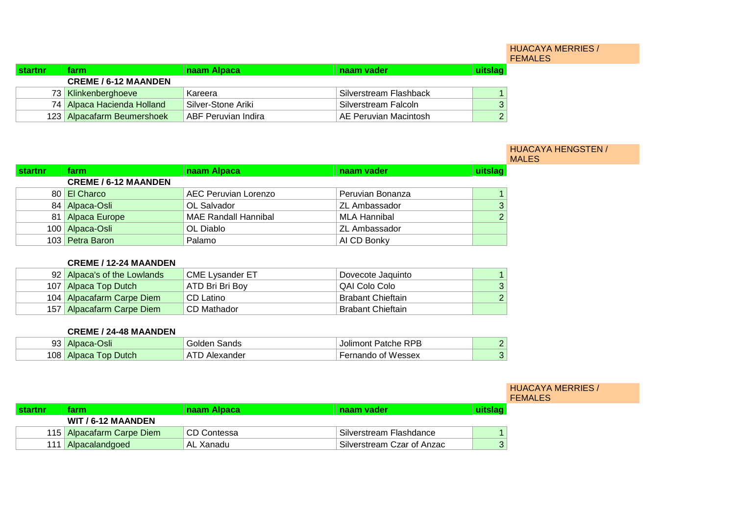#### HUACAYA MERRIES / FEMALES

| <b>startnr</b> | farm.                       | naam Alpaca                | naam vader             | uitslaq |
|----------------|-----------------------------|----------------------------|------------------------|---------|
|                | <b>CREME / 6-12 MAANDEN</b> |                            |                        |         |
|                | 73 Klinkenberghoeve         | Kareera                    | Silverstream Flashback |         |
|                | 74 Alpaca Hacienda Holland  | Silver-Stone Ariki         | Silverstream Falcoln   |         |
|                | 123 Alpacafarm Beumershoek  | <b>ABF Peruvian Indira</b> | AE Peruvian Macintosh  |         |

|         |                             |                             |                      |         | <b>HUACAYA HENGSTEN /</b><br><b>MALES</b> |
|---------|-----------------------------|-----------------------------|----------------------|---------|-------------------------------------------|
| startnr | farm                        | naam Alpaca                 | naam vader           | uitslag |                                           |
|         | <b>CREME / 6-12 MAANDEN</b> |                             |                      |         |                                           |
|         | 80 El Charco                | AEC Peruvian Lorenzo        | Peruvian Bonanza     |         |                                           |
|         | 84 Alpaca-Osli              | OL Salvador                 | <b>ZL Ambassador</b> |         |                                           |
|         | 81 Alpaca Europe            | <b>MAE Randall Hannibal</b> | MLA Hannibal         |         |                                           |
|         | 100 Alpaca-Osli             | OL Diablo                   | <b>ZL Ambassador</b> |         |                                           |
|         | 103 Petra Baron             | Palamo                      | AI CD Bonky          |         |                                           |

## **CREME / 12-24 MAANDEN**

| 92 Alpaca's of the Lowlands | <b>CME Lysander ET</b> | Dovecote Jaquinto        |   |
|-----------------------------|------------------------|--------------------------|---|
| 107 Alpaca Top Dutch        | ATD Bri Bri Bov        | QAI Colo Colo            | ົ |
| 104   Alpacafarm Carpe Diem | CD Latino              | <b>Brabant Chieftain</b> |   |
| 157   Alpacafarm Carpe Diem | CD Mathador            | <b>Brabant Chieftain</b> |   |

#### **CREME / 24-48 MAANDEN**

| റാ<br>-22 | )sli<br>Alt                         | Sands<br>ור<br>-11 | <b>RPB</b><br>Jolin<br>mont<br>atche |  |
|-----------|-------------------------------------|--------------------|--------------------------------------|--|
| 108       | <b>Dutch</b><br><b>OD</b><br>Albac: | ∩der<br>.          | of Wessex<br>זווו                    |  |

|                |                           |             |                                         |         | <b>HUACAYA MERRIES /</b><br><b>FEMALES</b> |
|----------------|---------------------------|-------------|-----------------------------------------|---------|--------------------------------------------|
| <b>startnr</b> | farm.                     | naam Alpaca | naam vader                              | uitslag |                                            |
|                | <b>WIT / 6-12 MAANDEN</b> |             |                                         |         |                                            |
|                | 115 Alpacafarm Carpe Diem | CD Contessa | Silverstream Flashdance                 |         |                                            |
|                | Alpacalandgoed            | AL Xanadu   | <sup>1</sup> Silverstream Czar of Anzac |         |                                            |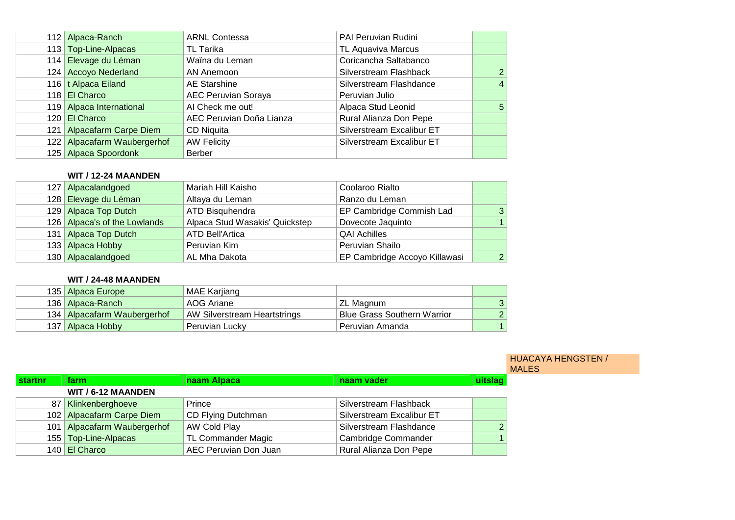|     | 112 Alpaca-Ranch            | <b>ARNL Contessa</b>       | PAI Peruvian Rudini       |                |
|-----|-----------------------------|----------------------------|---------------------------|----------------|
|     | 113 Top-Line-Alpacas        | TL Tarika                  | TL Aquaviva Marcus        |                |
|     | 114 Elevage du Léman        | Waïna du Leman             | Coricancha Saltabanco     |                |
|     | 124 Accoyo Nederland        | AN Anemoon                 | Silverstream Flashback    | $\overline{2}$ |
|     | 116 t Alpaca Eiland         | AE Starshine               | Silverstream Flashdance   | $\overline{4}$ |
|     | 118 El Charco               | <b>AEC Peruvian Soraya</b> | Peruvian Julio            |                |
|     | 119 Alpaca International    | Al Check me out!           | Alpaca Stud Leonid        | 5              |
|     | 120 El Charco               | AEC Peruvian Doña Lianza   | Rural Alianza Don Pepe    |                |
| 121 | Alpacafarm Carpe Diem       | CD Niquita                 | Silverstream Excalibur ET |                |
|     | 122 Alpacafarm Waubergerhof | <b>AW Felicity</b>         | Silverstream Excalibur ET |                |
|     | 125 Alpaca Spoordonk        | <b>Berber</b>              |                           |                |

#### **WIT / 12-24 MAANDEN**

|  | 127 Alpacalandgoed           | Mariah Hill Kaisho             | Coolaroo Rialto               |    |
|--|------------------------------|--------------------------------|-------------------------------|----|
|  | 128 Elevage du Léman         | Altaya du Leman                | Ranzo du Leman                |    |
|  | 129 Alpaca Top Dutch         | ATD Bisquhendra                | EP Cambridge Commish Lad      | -3 |
|  | 126 Alpaca's of the Lowlands | Alpaca Stud Wasakis' Quickstep | Dovecote Jaquinto             |    |
|  | 131 Alpaca Top Dutch         | <b>ATD Bell'Artica</b>         | <b>QAI Achilles</b>           |    |
|  | 133 Alpaca Hobby             | Peruvian Kim                   | Peruvian Shailo               |    |
|  | 130 Alpacalandgoed           | AL Mha Dakota                  | EP Cambridge Accoyo Killawasi | 2  |

# **WIT / 24-48 MAANDEN**

| 135 Alpaca Europe           | MAE Karjiang                        |                                    |                |
|-----------------------------|-------------------------------------|------------------------------------|----------------|
| 136 Alpaca-Ranch            | AOG Ariane                          | ZL Magnum                          | 3 <sup>1</sup> |
| 134 Alpacafarm Waubergerhof | <b>AW Silverstream Heartstrings</b> | <b>Blue Grass Southern Warrior</b> | $\mathcal{P}$  |
| 137   Alpaca Hobby          | Peruvian Lucky                      | Peruvian Amanda                    |                |

#### HUACAYA HENGSTEN / **MALES**

| startnr | <b>farm</b>                 | naam Alpaca           | naam vader                | uitslag |
|---------|-----------------------------|-----------------------|---------------------------|---------|
|         | WIT / 6-12 MAANDEN          |                       |                           |         |
|         | 87 Klinkenberghoeve         | Prince                | Silverstream Flashback    |         |
|         | 102 Alpacafarm Carpe Diem   | CD Flying Dutchman    | Silverstream Excalibur ET |         |
|         | 101 Alpacafarm Waubergerhof | AW Cold Play          | Silverstream Flashdance   |         |
|         | 155   Top-Line-Alpacas      | TL Commander Magic    | Cambridge Commander       |         |
|         | 140 El Charco               | AEC Peruvian Don Juan | Rural Alianza Don Pepe    |         |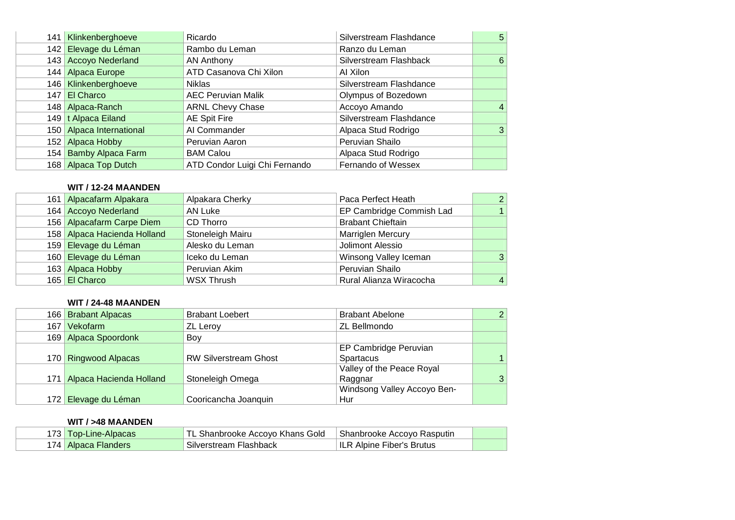| 141              | Klinkenberghoeve         | Ricardo                       | Silverstream Flashdance | 5              |
|------------------|--------------------------|-------------------------------|-------------------------|----------------|
|                  | 142 Elevage du Léman     | Rambo du Leman                | Ranzo du Leman          |                |
|                  | 143 Accoyo Nederland     | AN Anthony                    | Silverstream Flashback  | 6              |
|                  | 144 Alpaca Europe        | ATD Casanova Chi Xilon        | Al Xilon                |                |
|                  | 146   Klinkenberghoeve   | <b>Niklas</b>                 | Silverstream Flashdance |                |
| 147 <sup>°</sup> | El Charco                | <b>AEC Peruvian Malik</b>     | Olympus of Bozedown     |                |
|                  | 148 Alpaca-Ranch         | <b>ARNL Chevy Chase</b>       | Accoyo Amando           | $\overline{4}$ |
|                  | 149 t Alpaca Eiland      | <b>AE Spit Fire</b>           | Silverstream Flashdance |                |
|                  | 150 Alpaca International | Al Commander                  | Alpaca Stud Rodrigo     | 3              |
|                  | 152 Alpaca Hobby         | Peruvian Aaron                | Peruvian Shailo         |                |
|                  | 154 Bamby Alpaca Farm    | <b>BAM Calou</b>              | Alpaca Stud Rodrigo     |                |
|                  | 168 Alpaca Top Dutch     | ATD Condor Luigi Chi Fernando | Fernando of Wessex      |                |

## **WIT / 12-24 MAANDEN**

| 161 Alpacafarm Alpakara     | Alpakara Cherky   | Paca Perfect Heath       | 2              |
|-----------------------------|-------------------|--------------------------|----------------|
| 164 Accoyo Nederland        | AN Luke           | EP Cambridge Commish Lad |                |
| 156 Alpacafarm Carpe Diem   | CD Thorro         | <b>Brabant Chieftain</b> |                |
| 158 Alpaca Hacienda Holland | Stoneleigh Mairu  | <b>Marriglen Mercury</b> |                |
| 159 Elevage du Léman        | Alesko du Leman   | Jolimont Alessio         |                |
| 160 Elevage du Léman        | Iceko du Leman    | Winsong Valley Iceman    | 3              |
| 163 Alpaca Hobby            | Peruvian Akim     | Peruvian Shailo          |                |
| 165 El Charco               | <b>WSX Thrush</b> | Rural Alianza Wiracocha  | $\overline{4}$ |
|                             |                   |                          |                |

# **WIT / 24-48 MAANDEN**

|     | 166 Brabant Alpacas         | <b>Brabant Loebert</b>       | <b>Brabant Abelone</b>       | $\overline{2}$ |
|-----|-----------------------------|------------------------------|------------------------------|----------------|
| 167 | Vekofarm                    | ZL Leroy                     | ZL Bellmondo                 |                |
|     | 169 Alpaca Spoordonk        | Boy                          |                              |                |
|     |                             |                              | <b>EP Cambridge Peruvian</b> |                |
|     | 170 Ringwood Alpacas        | <b>RW Silverstream Ghost</b> | Spartacus                    |                |
|     |                             |                              | Valley of the Peace Royal    |                |
|     | 171 Alpaca Hacienda Holland | Stoneleigh Omega             | Raggnar                      | 3              |
|     |                             |                              | Windsong Valley Accoyo Ben-  |                |
|     | 172 Elevage du Léman        | Cooricancha Joanquin         | Hur                          |                |

# **WIT / >48 MAANDEN**

| 173  <br>Гор-Line-Alpacas     | Accoyo Khans Gold<br>` TL<br>enrooke | Shanbrooke Accovo<br>Rasputin          |  |
|-------------------------------|--------------------------------------|----------------------------------------|--|
| aca Flanders<br>Alpaca<br>174 | Silverstream<br>Flashback            | <b>Fiber's Brutus</b><br>ILR<br>Alpine |  |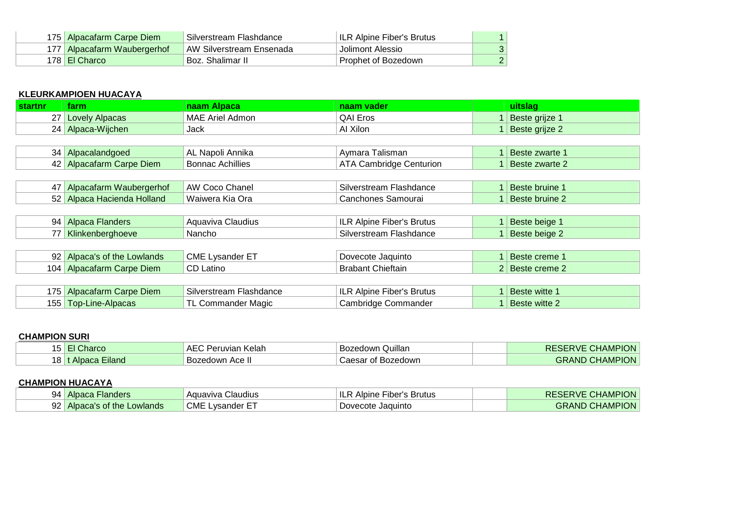| 175 Alpacafarm Carpe Diem     | Silverstream Flashdance  | ILR Alpine Fiber's Brutus |  |
|-------------------------------|--------------------------|---------------------------|--|
| 177   Alpacafarm Waubergerhof | AW Silverstream Ensenada | Jolimont Alessio          |  |
| 178 El Charco                 | Boz. Shalimar II         | Prophet of Bozedown       |  |

# **KLEURKAMPIOEN HUACAYA**

| <b>startnr</b> | farm                         | naam Alpaca             | naam vader                       | uitslag         |
|----------------|------------------------------|-------------------------|----------------------------------|-----------------|
| 27             | <b>Lovely Alpacas</b>        | <b>MAE Ariel Admon</b>  | <b>QAI Eros</b>                  | Beste grijze 1  |
|                | 24 Alpaca-Wijchen            | Jack                    | Al Xilon                         | Beste grijze 2  |
|                |                              |                         |                                  |                 |
|                | 34 Alpacalandgoed            | AL Napoli Annika        | Aymara Talisman                  | Beste zwarte 1  |
|                | 42 Alpacafarm Carpe Diem     | <b>Bonnac Achillies</b> | <b>ATA Cambridge Centurion</b>   | Beste zwarte 2  |
|                |                              |                         |                                  |                 |
| 47             | Alpacafarm Waubergerhof      | AW Coco Chanel          | Silverstream Flashdance          | Beste bruine 1  |
|                | 52 Alpaca Hacienda Holland   | Waiwera Kia Ora         | Canchones Samourai               | Beste bruine 2  |
|                |                              |                         |                                  |                 |
|                | 94 Alpaca Flanders           | Aquaviva Claudius       | ILR Alpine Fiber's Brutus        | Beste beige 1   |
| 77             | Klinkenberghoeve             | Nancho                  | Silverstream Flashdance          | Beste beige 2   |
|                |                              |                         |                                  |                 |
|                | 92 Alpaca's of the Lowlands  | <b>CME Lysander ET</b>  | Dovecote Jaquinto                | Beste creme 1   |
|                | 104 Alpacafarm Carpe Diem    | CD Latino               | <b>Brabant Chieftain</b>         | 2 Beste creme 2 |
|                |                              |                         |                                  |                 |
| 175            | <b>Alpacafarm Carpe Diem</b> | Silverstream Flashdance | <b>ILR Alpine Fiber's Brutus</b> | Beste witte 1   |
|                | 155 Top-Line-Alpacas         | TL Commander Magic      | Cambridge Commander              | Beste witte 2   |

# **CHAMPION SURI**

| narco                         | <b>AE</b><br>∟Kelah<br>Peruvian | Quillan<br>Bozedown | <b>CHAMPION</b><br><b>RESERVE</b> |
|-------------------------------|---------------------------------|---------------------|-----------------------------------|
| Eiland<br>ັບ<br><b>Albaca</b> | Bozedown Ace II                 | Bozedown<br>Caesar  | <b>D CHAMPION</b><br><b>GRAND</b> |

# **CHAMPION HUACAYA**

| 94<br>∟Flanders<br>Albaca        | Claudius<br>Aguaviva | ʻILF<br>⊧ Fiber's Brutus<br>Albine | <b>CHAMPION</b><br><b>RESERVE</b> |
|----------------------------------|----------------------|------------------------------------|-----------------------------------|
| 92<br>  Alpaca's of the Lowlands | wsander E<br>JME     | Dovecote Jaquinto                  | <b>CHAMPION</b><br>GRAND (        |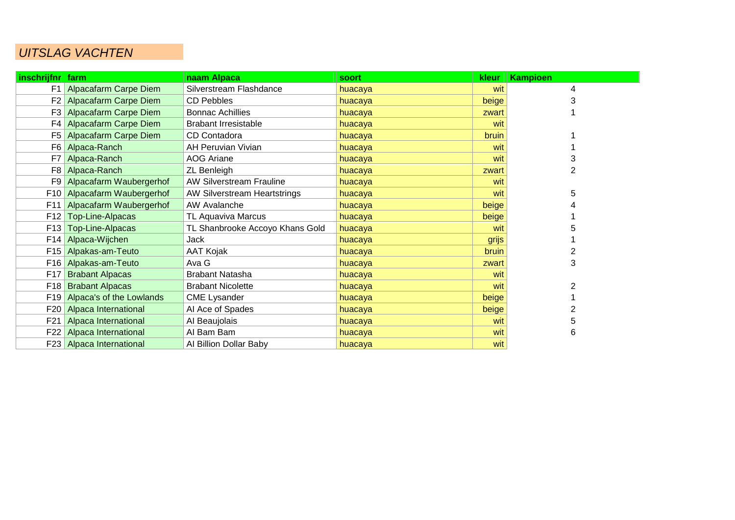# UITSLAG VACHTEN

| inschrijfnr | farm                         | naam Alpaca                     | soort   | kleur | <b>Kampioen</b> |
|-------------|------------------------------|---------------------------------|---------|-------|-----------------|
|             | F1 Alpacafarm Carpe Diem     | Silverstream Flashdance         | huacaya | wit   | 4               |
|             | F2 Alpacafarm Carpe Diem     | <b>CD Pebbles</b>               | huacaya | beige |                 |
| F3 I        | <b>Alpacafarm Carpe Diem</b> | <b>Bonnac Achillies</b>         | huacaya | zwart |                 |
| F4          | <b>Alpacafarm Carpe Diem</b> | <b>Brabant Irresistable</b>     | huacaya | wit   |                 |
|             | F5 Alpacafarm Carpe Diem     | CD Contadora                    | huacaya | bruin |                 |
|             | F6 Alpaca-Ranch              | <b>AH Peruvian Vivian</b>       | huacaya | wit   |                 |
|             | F7 Alpaca-Ranch              | <b>AOG Ariane</b>               | huacaya | wit   |                 |
| F8          | Alpaca-Ranch                 | <b>ZL Benleigh</b>              | huacaya | zwart | 2               |
|             | F9 Alpacafarm Waubergerhof   | <b>AW Silverstream Frauline</b> | huacaya | wit   |                 |
| F10         | Alpacafarm Waubergerhof      | AW Silverstream Heartstrings    | huacaya | wit   | 5               |
| F11         | Alpacafarm Waubergerhof      | AW Avalanche                    | huacaya | beige |                 |
| F12         | Top-Line-Alpacas             | TL Aquaviva Marcus              | huacaya | beige |                 |
| F13         | Top-Line-Alpacas             | TL Shanbrooke Accoyo Khans Gold | huacaya | wit   |                 |
| F14         | Alpaca-Wijchen               | Jack                            | huacaya | grijs |                 |
|             | F15 Alpakas-am-Teuto         | AAT Kojak                       | huacaya | bruin |                 |
|             | F16 Alpakas-am-Teuto         | Ava G                           | huacaya | zwart | 3               |
| F17         | <b>Brabant Alpacas</b>       | <b>Brabant Natasha</b>          | huacaya | wit   |                 |
| F18         | <b>Brabant Alpacas</b>       | <b>Brabant Nicolette</b>        | huacaya | wit   | 2               |
| F19         | Alpaca's of the Lowlands     | <b>CME Lysander</b>             | huacaya | beige |                 |
| F20         | Alpaca International         | Al Ace of Spades                | huacaya | beige |                 |
| F21         | Alpaca International         | Al Beaujolais                   | huacaya | wit   | 5               |
|             | F22 Alpaca International     | Al Bam Bam                      | huacaya | wit   | 6               |
|             | F23 Alpaca International     | Al Billion Dollar Baby          | huacaya | wit   |                 |